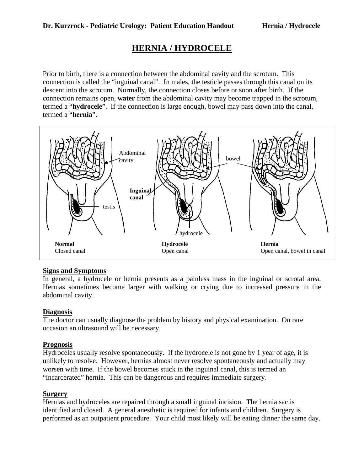# **HERNIA / HYDROCELE**

Prior to birth, there is a connection between the abdominal cavity and the scrotum. This connection is called the "inguinal canal". In males, the testicle passes through this canal on its descent into the scrotum. Normally, the connection closes before or soon after birth. If the connection remains open, **water** from the abdominal cavity may become trapped in the scrotum, termed a "**hydrocele**". If the connection is large enough, bowel may pass down into the canal, termed a "**hernia**".



# **Signs and Symptoms**

In general, a hydrocele or hernia presents as a painless mass in the inguinal or scrotal area. Hernias sometimes become larger with walking or crying due to increased pressure in the abdominal cavity.

# **Diagnosis**

The doctor can usually diagnose the problem by history and physical examination. On rare occasion an ultrasound will be necessary.

# **Prognosis**

Hydroceles usually resolve spontaneously. If the hydrocele is not gone by 1 year of age, it is unlikely to resolve. However, hernias almost never resolve spontaneously and actually may worsen with time. If the bowel becomes stuck in the inguinal canal, this is termed an "incarcerated" hernia. This can be dangerous and requires immediate surgery.

#### **Surgery**

Hernias and hydroceles are repaired through a small inguinal incision. The hernia sac is identified and closed. A general anesthetic is required for infants and children. Surgery is performed as an outpatient procedure. Your child most likely will be eating dinner the same day.